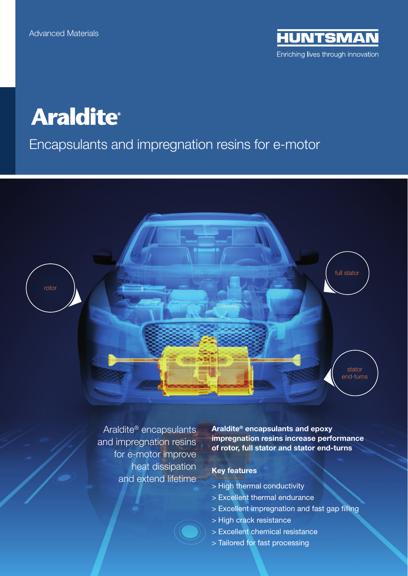**HUNTSMAN** Enriching lives through innovation

## **Araldite®**

Encapsulants and impregnation resins for e-motor





Araldite® encapsulants and impregnation resins for e-motor improve heat dissipation and extend lifetime

Araldite® encapsulants and epoxy impregnation resins increase performance of rotor, full stator and stator end-turns

## Key features

- > High thermal conductivity
- > Excellent thermal endurance
- > Excellent impregnation and fast gap filling
- > High crack resistance
- > Excellent chemical resistance
- > Tailored for fast processing